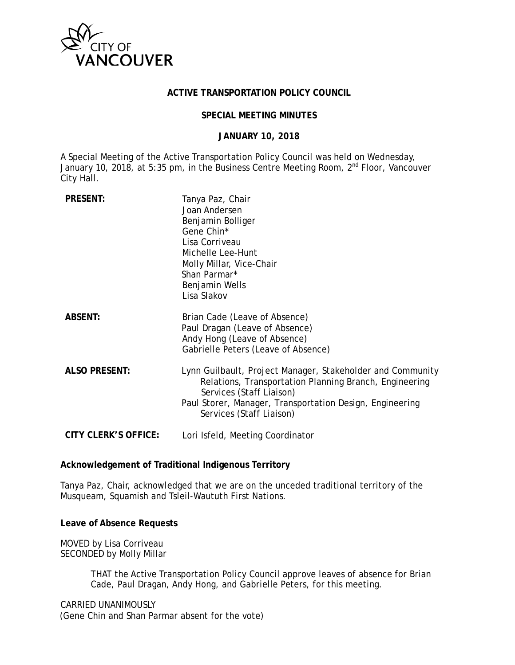

## **ACTIVE TRANSPORTATION POLICY COUNCIL**

## **SPECIAL MEETING MINUTES**

#### **JANUARY 10, 2018**

A Special Meeting of the Active Transportation Policy Council was held on Wednesday, January 10, 2018, at 5:35 pm, in the Business Centre Meeting Room, 2<sup>nd</sup> Floor, Vancouver City Hall.

| <b>PRESENT:</b>             | Tanya Paz, Chair<br>Joan Andersen<br>Benjamin Bolliger<br>Gene Chin*<br>Lisa Corriveau<br>Michelle Lee-Hunt<br>Molly Millar, Vice-Chair<br>Shan Parmar*<br>Benjamin Wells<br>Lisa Slakov                                                 |
|-----------------------------|------------------------------------------------------------------------------------------------------------------------------------------------------------------------------------------------------------------------------------------|
| <b>ABSENT:</b>              | Brian Cade (Leave of Absence)<br>Paul Dragan (Leave of Absence)<br>Andy Hong (Leave of Absence)<br>Gabrielle Peters (Leave of Absence)                                                                                                   |
| <b>ALSO PRESENT:</b>        | Lynn Guilbault, Project Manager, Stakeholder and Community<br>Relations, Transportation Planning Branch, Engineering<br>Services (Staff Liaison)<br>Paul Storer, Manager, Transportation Design, Engineering<br>Services (Staff Liaison) |
| <b>CITY CLERK'S OFFICE:</b> | Lori Isfeld, Meeting Coordinator                                                                                                                                                                                                         |

#### **Acknowledgement of Traditional Indigenous Territory**

Tanya Paz, Chair, acknowledged that we are on the unceded traditional territory of the Musqueam, Squamish and Tsleil-Waututh First Nations.

#### **Leave of Absence Requests**

MOVED by Lisa Corriveau SECONDED by Molly Millar

> THAT the Active Transportation Policy Council approve leaves of absence for Brian Cade, Paul Dragan, Andy Hong, and Gabrielle Peters, for this meeting.

CARRIED UNANIMOUSLY (Gene Chin and Shan Parmar absent for the vote)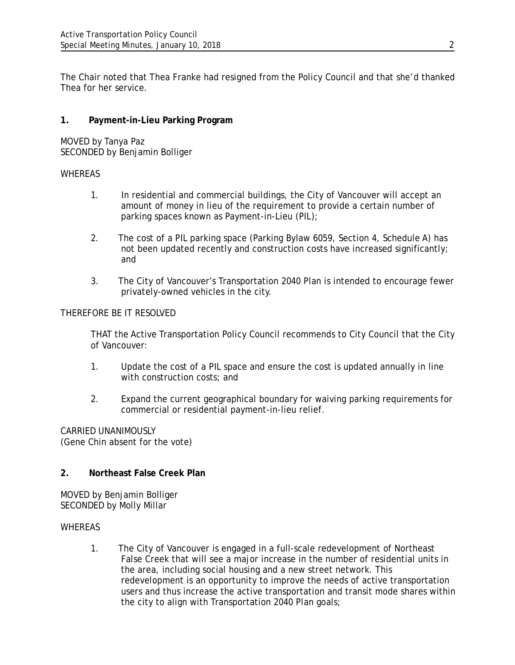The Chair noted that Thea Franke had resigned from the Policy Council and that she'd thanked Thea for her service.

# **1. Payment-in-Lieu Parking Program**

MOVED by Tanya Paz SECONDED by Benjamin Bolliger

## **WHEREAS**

- 1. In residential and commercial buildings, the City of Vancouver will accept an amount of money in lieu of the requirement to provide a certain number of parking spaces known as Payment-in-Lieu (PIL);
- 2. The cost of a PIL parking space (Parking Bylaw 6059, Section 4, Schedule A) has not been updated recently and construction costs have increased significantly; and
- 3. The City of Vancouver's Transportation 2040 Plan is intended to encourage fewer privately-owned vehicles in the city.

# THEREFORE BE IT RESOLVED

THAT the Active Transportation Policy Council recommends to City Council that the City of Vancouver:

- 1. Update the cost of a PIL space and ensure the cost is updated annually in line with construction costs; and
- 2. Expand the current geographical boundary for waiving parking requirements for commercial or residential payment-in-lieu relief.

CARRIED UNANIMOUSLY (Gene Chin absent for the vote)

# **2. Northeast False Creek Plan**

MOVED by Benjamin Bolliger SECONDED by Molly Millar

#### WHEREAS

1. The City of Vancouver is engaged in a full-scale redevelopment of Northeast False Creek that will see a major increase in the number of residential units in the area, including social housing and a new street network. This redevelopment is an opportunity to improve the needs of active transportation users and thus increase the active transportation and transit mode shares within the city to align with Transportation 2040 Plan goals;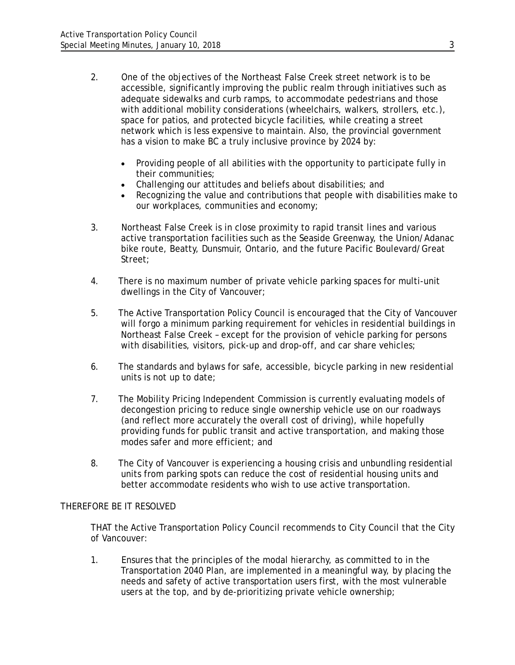- 2. One of the objectives of the Northeast False Creek street network is to be accessible, significantly improving the public realm through initiatives such as adequate sidewalks and curb ramps, to accommodate pedestrians and those with additional mobility considerations (wheelchairs, walkers, strollers, etc.), space for patios, and protected bicycle facilities, while creating a street network which is less expensive to maintain. Also, the provincial government has a vision to make BC a truly inclusive province by 2024 by:
	- Providing people of all abilities with the opportunity to participate fully in their communities;
	- Challenging our attitudes and beliefs about disabilities; and
	- Recognizing the value and contributions that people with disabilities make to our workplaces, communities and economy;
- 3. Northeast False Creek is in close proximity to rapid transit lines and various active transportation facilities such as the Seaside Greenway, the Union/Adanac bike route, Beatty, Dunsmuir, Ontario, and the future Pacific Boulevard/Great Street;
- 4. There is no maximum number of private vehicle parking spaces for multi-unit dwellings in the City of Vancouver;
- 5. The Active Transportation Policy Council is encouraged that the City of Vancouver will forgo a minimum parking requirement for vehicles in residential buildings in Northeast False Creek – except for the provision of vehicle parking for persons with disabilities, visitors, pick-up and drop-off, and car share vehicles;
- 6. The standards and bylaws for safe, accessible, bicycle parking in new residential units is not up to date;
- 7. The Mobility Pricing Independent Commission is currently evaluating models of decongestion pricing to reduce single ownership vehicle use on our roadways (and reflect more accurately the overall cost of driving), while hopefully providing funds for public transit and active transportation, and making those modes safer and more efficient; and
- 8. The City of Vancouver is experiencing a housing crisis and unbundling residential units from parking spots can reduce the cost of residential housing units and better accommodate residents who wish to use active transportation.

# THEREFORE BE IT RESOLVED

THAT the Active Transportation Policy Council recommends to City Council that the City of Vancouver:

1. Ensures that the principles of the modal hierarchy, as committed to in the Transportation 2040 Plan, are implemented in a meaningful way, by placing the needs and safety of active transportation users first, with the most vulnerable users at the top, and by de-prioritizing private vehicle ownership;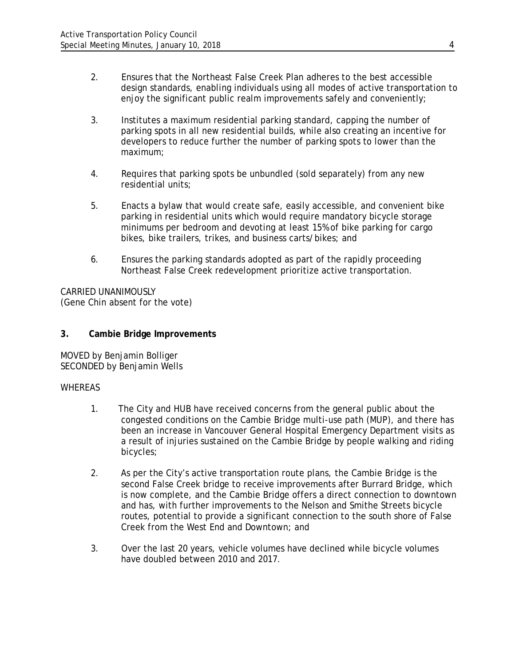- 2. Ensures that the Northeast False Creek Plan adheres to the best accessible design standards, enabling individuals using all modes of active transportation to enjoy the significant public realm improvements safely and conveniently;
- 3. Institutes a maximum residential parking standard, capping the number of parking spots in all new residential builds, while also creating an incentive for developers to reduce further the number of parking spots to lower than the maximum;
- 4. Requires that parking spots be unbundled (sold separately) from any new residential units;
- 5. Enacts a bylaw that would create safe, easily accessible, and convenient bike parking in residential units which would require mandatory bicycle storage minimums per bedroom and devoting at least 15% of bike parking for cargo bikes, bike trailers, trikes, and business carts/bikes; and
- 6. Ensures the parking standards adopted as part of the rapidly proceeding Northeast False Creek redevelopment prioritize active transportation.

CARRIED UNANIMOUSLY (Gene Chin absent for the vote)

# **3. Cambie Bridge Improvements**

MOVED by Benjamin Bolliger SECONDED by Benjamin Wells

# WHEREAS

- 1. The City and HUB have received concerns from the general public about the congested conditions on the Cambie Bridge multi-use path (MUP), and there has been an increase in Vancouver General Hospital Emergency Department visits as a result of injuries sustained on the Cambie Bridge by people walking and riding bicycles;
- 2. As per the City's active transportation route plans, the Cambie Bridge is the second False Creek bridge to receive improvements after Burrard Bridge, which is now complete, and the Cambie Bridge offers a direct connection to downtown and has, with further improvements to the Nelson and Smithe Streets bicycle routes, potential to provide a significant connection to the south shore of False Creek from the West End and Downtown; and
- 3. Over the last 20 years, vehicle volumes have declined while bicycle volumes have doubled between 2010 and 2017.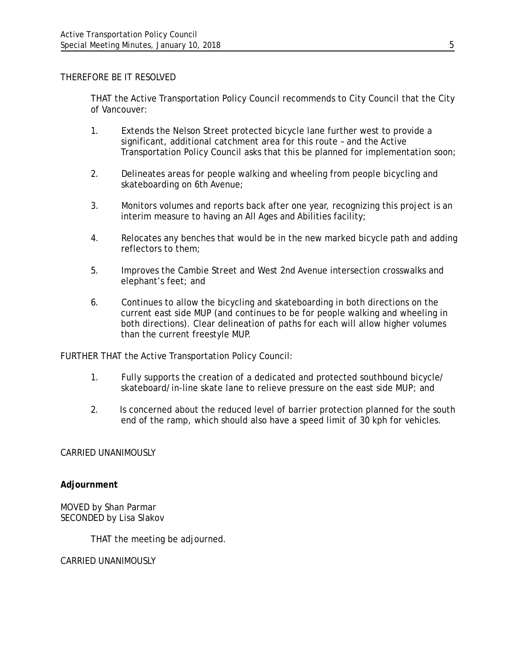## THEREFORE BE IT RESOLVED

THAT the Active Transportation Policy Council recommends to City Council that the City of Vancouver:

- 1. Extends the Nelson Street protected bicycle lane further west to provide a significant, additional catchment area for this route – and the Active Transportation Policy Council asks that this be planned for implementation soon;
- 2. Delineates areas for people walking and wheeling from people bicycling and skateboarding on 6th Avenue;
- 3. Monitors volumes and reports back after one year, recognizing this project is an interim measure to having an All Ages and Abilities facility;
- 4. Relocates any benches that would be in the new marked bicycle path and adding reflectors to them;
- 5. Improves the Cambie Street and West 2nd Avenue intersection crosswalks and elephant's feet; and
- 6. Continues to allow the bicycling and skateboarding in both directions on the current east side MUP (and continues to be for people walking and wheeling in both directions). Clear delineation of paths for each will allow higher volumes than the current freestyle MUP.

FURTHER THAT the Active Transportation Policy Council:

- 1. Fully supports the creation of a dedicated and protected southbound bicycle/ skateboard/in-line skate lane to relieve pressure on the east side MUP; and
- 2. Is concerned about the reduced level of barrier protection planned for the south end of the ramp, which should also have a speed limit of 30 kph for vehicles.

#### CARRIED UNANIMOUSLY

# **Adjournment**

MOVED by Shan Parmar SECONDED by Lisa Slakov

THAT the meeting be adjourned.

#### CARRIED UNANIMOUSLY